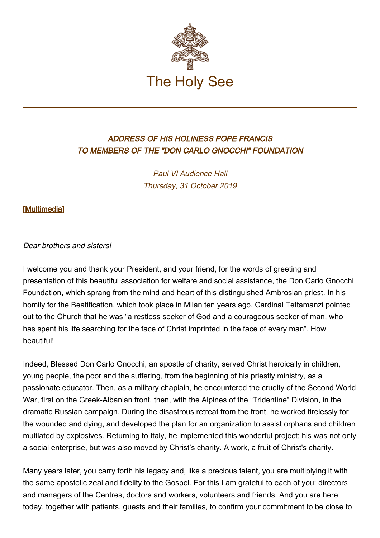

## ADDRESS OF HIS HOLINESS POPE FRANCIS TO MEMBERS OF THE "DON CARLO GNOCCHI" FOUNDATION

Paul VI Audience Hall Thursday, 31 October 2019

## [\[Multimedia](http://w2.vatican.va/content/francesco/en/events/event.dir.html/content/vaticanevents/en/2019/10/31/fondazione-dongnocchi.html)]

## Dear brothers and sisters!

I welcome you and thank your President, and your friend, for the words of greeting and presentation of this beautiful association for welfare and social assistance, the Don Carlo Gnocchi Foundation, which sprang from the mind and heart of this distinguished Ambrosian priest. In his homily for the Beatification, which took place in Milan ten years ago, Cardinal Tettamanzi pointed out to the Church that he was "a restless seeker of God and a courageous seeker of man, who has spent his life searching for the face of Christ imprinted in the face of every man". How beautiful!

Indeed, Blessed Don Carlo Gnocchi, an apostle of charity, served Christ heroically in children, young people, the poor and the suffering, from the beginning of his priestly ministry, as a passionate educator. Then, as a military chaplain, he encountered the cruelty of the Second World War, first on the Greek-Albanian front, then, with the Alpines of the "Tridentine" Division, in the dramatic Russian campaign. During the disastrous retreat from the front, he worked tirelessly for the wounded and dying, and developed the plan for an organization to assist orphans and children mutilated by explosives. Returning to Italy, he implemented this wonderful project; his was not only a social enterprise, but was also moved by Christ's charity. A work, a fruit of Christ's charity.

Many years later, you carry forth his legacy and, like a precious talent, you are multiplying it with the same apostolic zeal and fidelity to the Gospel. For this I am grateful to each of you: directors and managers of the Centres, doctors and workers, volunteers and friends. And you are here today, together with patients, guests and their families, to confirm your commitment to be close to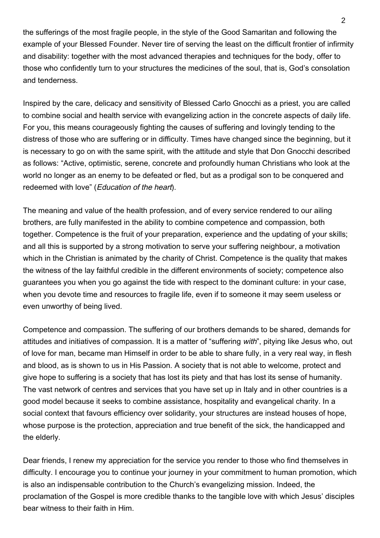the sufferings of the most fragile people, in the style of the Good Samaritan and following the example of your Blessed Founder. Never tire of serving the least on the difficult frontier of infirmity and disability: together with the most advanced therapies and techniques for the body, offer to those who confidently turn to your structures the medicines of the soul, that is, God's consolation and tenderness.

Inspired by the care, delicacy and sensitivity of Blessed Carlo Gnocchi as a priest, you are called to combine social and health service with evangelizing action in the concrete aspects of daily life. For you, this means courageously fighting the causes of suffering and lovingly tending to the distress of those who are suffering or in difficulty. Times have changed since the beginning, but it is necessary to go on with the same spirit, with the attitude and style that Don Gnocchi described as follows: "Active, optimistic, serene, concrete and profoundly human Christians who look at the world no longer as an enemy to be defeated or fled, but as a prodigal son to be conquered and redeemed with love" (Education of the heart).

The meaning and value of the health profession, and of every service rendered to our ailing brothers, are fully manifested in the ability to combine competence and compassion, both together. Competence is the fruit of your preparation, experience and the updating of your skills; and all this is supported by a strong motivation to serve your suffering neighbour, a motivation which in the Christian is animated by the charity of Christ. Competence is the quality that makes the witness of the lay faithful credible in the different environments of society; competence also guarantees you when you go against the tide with respect to the dominant culture: in your case, when you devote time and resources to fragile life, even if to someone it may seem useless or even unworthy of being lived.

Competence and compassion. The suffering of our brothers demands to be shared, demands for attitudes and initiatives of compassion. It is a matter of "suffering with", pitying like Jesus who, out of love for man, became man Himself in order to be able to share fully, in a very real way, in flesh and blood, as is shown to us in His Passion. A society that is not able to welcome, protect and give hope to suffering is a society that has lost its piety and that has lost its sense of humanity. The vast network of centres and services that you have set up in Italy and in other countries is a good model because it seeks to combine assistance, hospitality and evangelical charity. In a social context that favours efficiency over solidarity, your structures are instead houses of hope, whose purpose is the protection, appreciation and true benefit of the sick, the handicapped and the elderly.

Dear friends, I renew my appreciation for the service you render to those who find themselves in difficulty. I encourage you to continue your journey in your commitment to human promotion, which is also an indispensable contribution to the Church's evangelizing mission. Indeed, the proclamation of the Gospel is more credible thanks to the tangible love with which Jesus' disciples bear witness to their faith in Him.